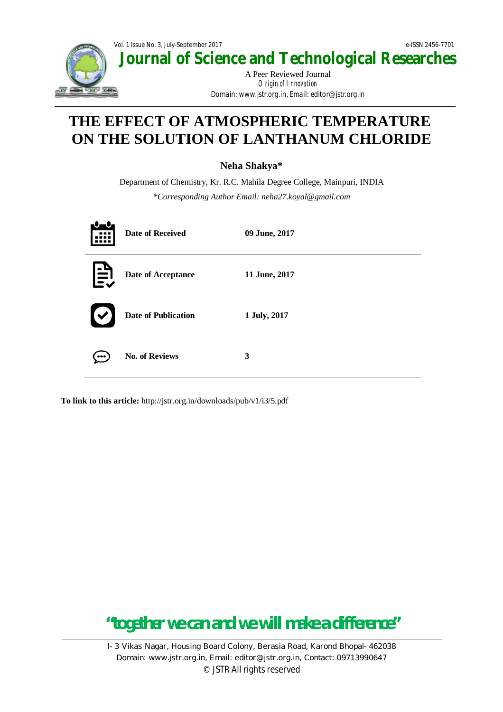

## **THE EFFECT OF ATMOSPHERIC TEMPERATURE ON THE SOLUTION OF LANTHANUM CHLORIDE**

### **Neha Shakya\***

Department of Chemistry, Kr. R.C. Mahila Degree College, Mainpuri, INDIA *\*Corresponding Author Email: neha27.koyal@gmail.com*

|   | <b>Date of Received</b>    | 09 June, 2017 |
|---|----------------------------|---------------|
| Ë | Date of Acceptance         | 11 June, 2017 |
|   | <b>Date of Publication</b> | 1 July, 2017  |
|   | <b>No. of Reviews</b>      | 3             |

**To link to this article:** http://jstr.org.in/downloads/pub/v1/i3/5.pdf

# **"together we can and we will make a difference"**

I-3 Vikas Nagar, Housing Board Colony, Berasia Road, Karond Bhopal-462038 Domain: www.jstr.org.in, Email: editor@jstr.org.in, Contact: 09713990647 © JSTR All rights reserved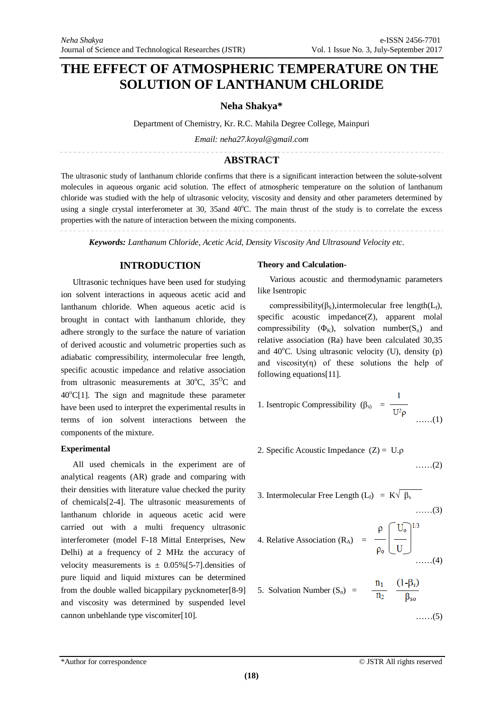### **THE EFFECT OF ATMOSPHERIC TEMPERATURE ON THE SOLUTION OF LANTHANUM CHLORIDE**

**Neha Shakya\***

Department of Chemistry, Kr. R.C. Mahila Degree College, Mainpuri

*Email: neha27.koyal@gmail.com*

#### **ABSTRACT**

The ultrasonic study of lanthanum chloride confirms that there is a significant interaction between the solute-solvent molecules in aqueous organic acid solution. The effect of atmospheric temperature on the solution of lanthanum chloride was studied with the help of ultrasonic velocity, viscosity and density and other parameters determined by using a single crystal interferometer at 30, 35and  $40^{\circ}$ C. The main thrust of the study is to correlate the excess properties with the nature of interaction between the mixing components.

*Keywords: Lanthanum Chloride, Acetic Acid, Density Viscosity And Ultrasound Velocity etc.*

#### **INTRODUCTION**

Ultrasonic techniques have been used for studying ion solvent interactions in aqueous acetic acid and lanthanum chloride. When aqueous acetic acid is brought in contact with lanthanum chloride, they adhere strongly to the surface the nature of variation of derived acoustic and volumetric properties such as adiabatic compressibility, intermolecular free length, specific acoustic impedance and relative association from ultrasonic measurements at  $30^{\circ}$ C,  $35^{\circ}$ C and  $40^{\circ}$ C[1]. The sign and magnitude these parameter have been used to interpret the experimental results in terms of ion solvent interactions between the components of the mixture.

#### **Experimental**

All used chemicals in the experiment are of analytical reagents (AR) grade and comparing with their densities with literature value checked the purity of chemicals[2-4]. The ultrasonic measurements of lanthanum chloride in aqueous acetic acid were carried out with a multi frequency ultrasonic interferometer (model F-18 Mittal Enterprises, New Delhi) at a frequency of 2 MHz the accuracy of velocity measurements is  $\pm$  0.05% [5-7]. densities of pure liquid and liquid mixtures can be determined from the double walled bicappilary pycknometer[8-9] and viscosity was determined by suspended level cannon unbehlande type viscomiter[10].

#### **Theory and Calculation-**

Various acoustic and thermodynamic parameters like Isentropic

compressibility( $\beta_s$ ), intermolecular free length( $L_f$ ), specific acoustic impedance(Z), apparent molal compressibility  $(\Phi_K)$ , solvation number(S<sub>n</sub>) and relative association (Ra) have been calculated 30,35 and  $40^{\circ}$ C. Using ultrasonic velocity (U), density (p) and viscosity $(\eta)$  of these solutions the help of following equations[11].

1. Isentropic Compressibility 
$$
(\beta_s) = \frac{1}{U^2 \rho}
$$
 ......(1)

2. Specific Acoustic Impedance  $(Z) = U \cdot \rho$ ……(2)

3. Intermolecular Free Length 
$$
(L_f) = K\sqrt{\beta_s}
$$
 ......(3)

4. Relative Association (R<sub>A</sub>) = 
$$
\frac{\rho}{\rho_0} \left[ \frac{U_0}{U} \right]^{1/3}
$$
......(4)

5. Solution Number 
$$
(S_n)
$$
 =  $\frac{n_1}{n_2} \frac{(1-\beta_s)}{\beta_{so}}$ 

……(5)

 $\sim$   $\sim$   $\sim$   $\sim$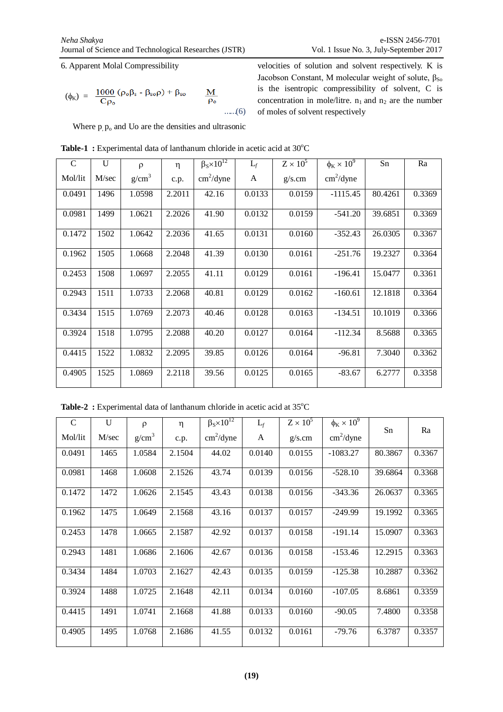velocities of solution and solvent respectively. K is Jacobson Constant, M molecular weight of solute,  $\beta_{So}$ is the isentropic compressibility of solvent, C is concentration in mole/litre.  $n_1$  and  $n_2$  are the number

of moles of solvent respectively

6. Apparent Molal Compressibility

$$
(\phi_K) = \frac{1000}{C\rho_o} (\rho_o \beta_s - \beta_{so}\rho) + \beta_{so} \qquad \underline{M}_{\rho_o}
$$
 ......(6)

Where  $p, p_0$  and Uo are the densities and ultrasonic

| $\mathsf{C}$ | U     | $\rho$            | $\eta$ | $\beta_s \times 10^{12}$  | $L_f$  | $Z \times 10^5$ | $\phi_K \times 10^9$      | Sn      | Ra     |
|--------------|-------|-------------------|--------|---------------------------|--------|-----------------|---------------------------|---------|--------|
| Mol/lit      | M/sec | g/cm <sup>3</sup> | c.p.   | $\text{cm}^2/\text{dyne}$ | A      | g/s.cm          | $\text{cm}^2/\text{dyne}$ |         |        |
| 0.0491       | 1496  | 1.0598            | 2.2011 | 42.16                     | 0.0133 | 0.0159          | $-1115.45$                | 80.4261 | 0.3369 |
| 0.0981       | 1499  | 1.0621            | 2.2026 | 41.90                     | 0.0132 | 0.0159          | $-541.20$                 | 39.6851 | 0.3369 |
| 0.1472       | 1502  | 1.0642            | 2.2036 | 41.65                     | 0.0131 | 0.0160          | $-352.43$                 | 26.0305 | 0.3367 |
| 0.1962       | 1505  | 1.0668            | 2.2048 | 41.39                     | 0.0130 | 0.0161          | $-251.76$                 | 19.2327 | 0.3364 |
| 0.2453       | 1508  | 1.0697            | 2.2055 | 41.11                     | 0.0129 | 0.0161          | $-196.41$                 | 15.0477 | 0.3361 |
| 0.2943       | 1511  | 1.0733            | 2.2068 | 40.81                     | 0.0129 | 0.0162          | $-160.61$                 | 12.1818 | 0.3364 |
| 0.3434       | 1515  | 1.0769            | 2.2073 | 40.46                     | 0.0128 | 0.0163          | $-134.51$                 | 10.1019 | 0.3366 |
| 0.3924       | 1518  | 1.0795            | 2.2088 | 40.20                     | 0.0127 | 0.0164          | $-112.34$                 | 8.5688  | 0.3365 |
| 0.4415       | 1522  | 1.0832            | 2.2095 | 39.85                     | 0.0126 | 0.0164          | $-96.81$                  | 7.3040  | 0.3362 |
| 0.4905       | 1525  | 1.0869            | 2.2118 | 39.56                     | 0.0125 | 0.0165          | $-83.67$                  | 6.2777  | 0.3358 |

|  |  |  |  | <b>Table-1</b> : Experimental data of lanthanum chloride in acetic acid at $30^{\circ}$ C |
|--|--|--|--|-------------------------------------------------------------------------------------------|
|--|--|--|--|-------------------------------------------------------------------------------------------|

Table-2 : Experimental data of lanthanum chloride in acetic acid at 35°C

| $\mathsf{C}$ | U     | $\rho$            | η      | $\beta_{\rm s} \times 10^{12}$ | $L_f$  | $Z \times 10^5$ | $\phi_{\rm K} \times 10^{9}$ | Sn      | Ra     |
|--------------|-------|-------------------|--------|--------------------------------|--------|-----------------|------------------------------|---------|--------|
| Mol/lit      | M/sec | g/cm <sup>3</sup> | c.p.   | $\text{cm}^2/\text{dyne}$      | A      | g/s.cm          | $\text{cm}^2/\text{dyne}$    |         |        |
| 0.0491       | 1465  | 1.0584            | 2.1504 | 44.02                          | 0.0140 | 0.0155          | $-1083.27$                   | 80.3867 | 0.3367 |
| 0.0981       | 1468  | 1.0608            | 2.1526 | 43.74                          | 0.0139 | 0.0156          | $-528.10$                    | 39.6864 | 0.3368 |
| 0.1472       | 1472  | 1.0626            | 2.1545 | 43.43                          | 0.0138 | 0.0156          | $-343.36$                    | 26.0637 | 0.3365 |
| 0.1962       | 1475  | 1.0649            | 2.1568 | 43.16                          | 0.0137 | 0.0157          | $-249.99$                    | 19.1992 | 0.3365 |
| 0.2453       | 1478  | 1.0665            | 2.1587 | 42.92                          | 0.0137 | 0.0158          | $-191.14$                    | 15.0907 | 0.3363 |
| 0.2943       | 1481  | 1.0686            | 2.1606 | 42.67                          | 0.0136 | 0.0158          | $-153.46$                    | 12.2915 | 0.3363 |
| 0.3434       | 1484  | 1.0703            | 2.1627 | 42.43                          | 0.0135 | 0.0159          | $-125.38$                    | 10.2887 | 0.3362 |
| 0.3924       | 1488  | 1.0725            | 2.1648 | 42.11                          | 0.0134 | 0.0160          | $-107.05$                    | 8.6861  | 0.3359 |
| 0.4415       | 1491  | 1.0741            | 2.1668 | 41.88                          | 0.0133 | 0.0160          | $-90.05$                     | 7.4800  | 0.3358 |
| 0.4905       | 1495  | 1.0768            | 2.1686 | 41.55                          | 0.0132 | 0.0161          | $-79.76$                     | 6.3787  | 0.3357 |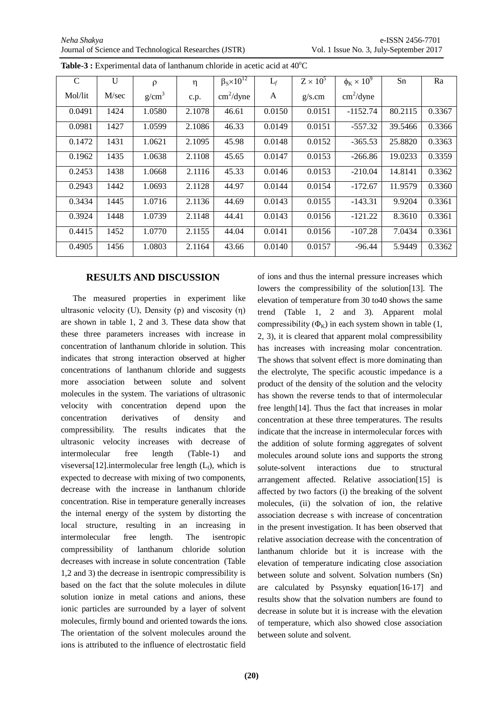| $\mathsf{C}$ | U     | ρ                 | η      | $\beta_{\rm S} \times 10^{12}$ | $L_f$  | $Z \times 10^5$ | $\phi_{\rm K} \times 10^9$ | Sn      | Ra     |
|--------------|-------|-------------------|--------|--------------------------------|--------|-----------------|----------------------------|---------|--------|
| Mol/lit      | M/sec | g/cm <sup>3</sup> | c.p.   | $\text{cm}^2/\text{dyne}$      | A      | g/s.cm          | $\text{cm}^2/\text{dyne}$  |         |        |
| 0.0491       | 1424  | 1.0580            | 2.1078 | 46.61                          | 0.0150 | 0.0151          | $-1152.74$                 | 80.2115 | 0.3367 |
| 0.0981       | 1427  | 1.0599            | 2.1086 | 46.33                          | 0.0149 | 0.0151          | $-557.32$                  | 39.5466 | 0.3366 |
| 0.1472       | 1431  | 1.0621            | 2.1095 | 45.98                          | 0.0148 | 0.0152          | $-365.53$                  | 25.8820 | 0.3363 |
| 0.1962       | 1435  | 1.0638            | 2.1108 | 45.65                          | 0.0147 | 0.0153          | $-266.86$                  | 19.0233 | 0.3359 |
| 0.2453       | 1438  | 1.0668            | 2.1116 | 45.33                          | 0.0146 | 0.0153          | $-210.04$                  | 14.8141 | 0.3362 |
| 0.2943       | 1442  | 1.0693            | 2.1128 | 44.97                          | 0.0144 | 0.0154          | $-172.67$                  | 11.9579 | 0.3360 |
| 0.3434       | 1445  | 1.0716            | 2.1136 | 44.69                          | 0.0143 | 0.0155          | $-143.31$                  | 9.9204  | 0.3361 |
| 0.3924       | 1448  | 1.0739            | 2.1148 | 44.41                          | 0.0143 | 0.0156          | $-121.22$                  | 8.3610  | 0.3361 |
| 0.4415       | 1452  | 1.0770            | 2.1155 | 44.04                          | 0.0141 | 0.0156          | $-107.28$                  | 7.0434  | 0.3361 |
| 0.4905       | 1456  | 1.0803            | 2.1164 | 43.66                          | 0.0140 | 0.0157          | $-96.44$                   | 5.9449  | 0.3362 |

**Table-3 :** Experimental data of lanthanum chloride in acetic acid at 40<sup>o</sup>C

#### **RESULTS AND DISCUSSION**

The measured properties in experiment like ultrasonic velocity (U), Density (p) and viscosity  $(\eta)$ are shown in table 1, 2 and 3. These data show that these three parameters increases with increase in concentration of lanthanum chloride in solution. This indicates that strong interaction observed at higher concentrations of lanthanum chloride and suggests more association between solute and solvent molecules in the system. The variations of ultrasonic velocity with concentration depend upon the concentration derivatives of density and compressibility. The results indicates that the ultrasonic velocity increases with decrease of intermolecular free length (Table-1) and viseversa[12].intermolecular free length  $(L_f)$ , which is expected to decrease with mixing of two components, decrease with the increase in lanthanum chloride concentration. Rise in temperature generally increases the internal energy of the system by distorting the local structure, resulting in an increasing in intermolecular free length. The isentropic compressibility of lanthanum chloride solution decreases with increase in solute concentration (Table 1,2 and 3) the decrease in isentropic compressibility is based on the fact that the solute molecules in dilute solution ionize in metal cations and anions, these ionic particles are surrounded by a layer of solvent molecules, firmly bound and oriented towards the ions. The orientation of the solvent molecules around the ions is attributed to the influence of electrostatic field

of ions and thus the internal pressure increases which lowers the compressibility of the solution[13]. The elevation of temperature from 30 to40 shows the same trend (Table 1, 2 and 3). Apparent molal compressibility ( $\Phi_K$ ) in each system shown in table (1, 2, 3), it is cleared that apparent molal compressibility has increases with increasing molar concentration. The shows that solvent effect is more dominating than the electrolyte, The specific acoustic impedance is a product of the density of the solution and the velocity has shown the reverse tends to that of intermolecular free length[14]. Thus the fact that increases in molar concentration at these three temperatures. The results indicate that the increase in intermolecular forces with the addition of solute forming aggregates of solvent molecules around solute ions and supports the strong solute-solvent interactions due to structural arrangement affected. Relative association[15] is affected by two factors (i) the breaking of the solvent molecules, (ii) the solvation of ion, the relative association decrease s with increase of concentration in the present investigation. It has been observed that relative association decrease with the concentration of lanthanum chloride but it is increase with the elevation of temperature indicating close association between solute and solvent. Solvation numbers (Sn) are calculated by Pssynsky equation[16-17] and results show that the solvation numbers are found to decrease in solute but it is increase with the elevation of temperature, which also showed close association between solute and solvent.